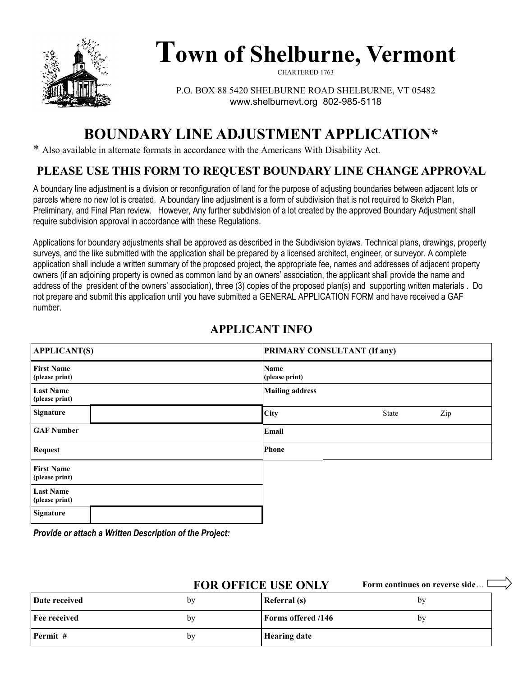

# **Town of Shelburne, Vermont**

CHARTERED 1763

P.O. BOX 88 5420 SHELBURNE ROAD SHELBURNE, VT 05482 www.shelburnevt.org 802-985-5118

## **BOUNDARY LINE ADJUSTMENT APPLICATION\***

\* Also available in alternate formats in accordance with the Americans With Disability Act.

#### **PLEASE USE THIS FORM TO REQUEST BOUNDARY LINE CHANGE APPROVAL**

A boundary line adjustment is a division or reconfiguration of land for the purpose of adjusting boundaries between adjacent lots or parcels where no new lot is created. A boundary line adjustment is a form of subdivision that is not required to Sketch Plan, Preliminary, and Final Plan review. However, Any further subdivision of a lot created by the approved Boundary Adjustment shall require subdivision approval in accordance with these Regulations.

Applications for boundary adjustments shall be approved as described in the Subdivision bylaws. Technical plans, drawings, property surveys, and the like submitted with the application shall be prepared by a licensed architect, engineer, or surveyor. A complete application shall include a written summary of the proposed project, the appropriate fee, names and addresses of adjacent property owners (if an adjoining property is owned as common land by an owners' association, the applicant shall provide the name and address of the president of the owners' association), three (3) copies of the proposed plan(s) and supporting written materials . Do not prepare and submit this application until you have submitted a GENERAL APPLICATION FORM and have received a GAF number.

#### **APPLICANT INFO**

| <b>APPLICANT(S)</b>                 |  | <b>PRIMARY CONSULTANT (If any)</b> |              |     |  |
|-------------------------------------|--|------------------------------------|--------------|-----|--|
| <b>First Name</b><br>(please print) |  | Name<br>(please print)             |              |     |  |
| <b>Last Name</b><br>(please print)  |  | <b>Mailing address</b>             |              |     |  |
| Signature                           |  | City                               | <b>State</b> | Zip |  |
| <b>GAF Number</b>                   |  | Email                              |              |     |  |
| <b>Request</b>                      |  | Phone                              |              |     |  |
| <b>First Name</b><br>(please print) |  |                                    |              |     |  |
| <b>Last Name</b><br>(please print)  |  |                                    |              |     |  |
| Signature                           |  |                                    |              |     |  |

*Provide or attach a Written Description of the Project:* 

| <b>FOR OFFICE USE ONLY</b> |    | Form continues on reverse side |    |
|----------------------------|----|--------------------------------|----|
| Date received              | by | Referral (s)                   | bv |
| Fee received               | by | <b>Forms offered /146</b>      | bv |
| Permit #                   | by | <b>Hearing date</b>            |    |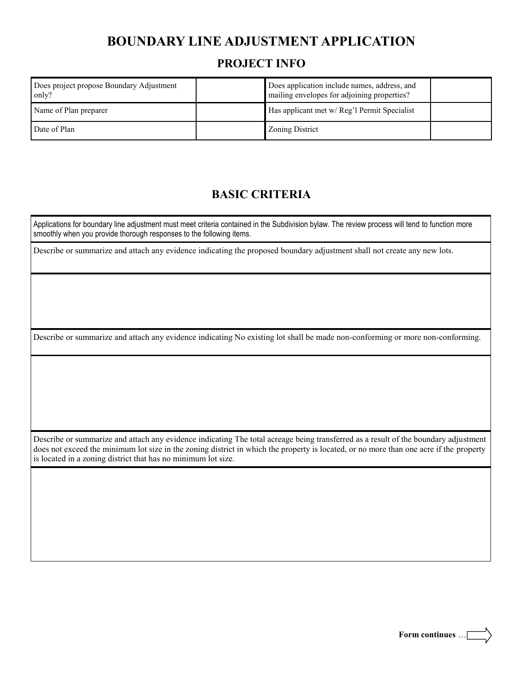## **BOUNDARY LINE ADJUSTMENT APPLICATION**

#### **PROJECT INFO**

| Does project propose Boundary Adjustment<br>only? | Does application include names, address, and<br>mailing envelopes for adjoining properties? |  |
|---------------------------------------------------|---------------------------------------------------------------------------------------------|--|
| Name of Plan preparer                             | Has applicant met w/ Reg'l Permit Specialist                                                |  |
| Date of Plan                                      | Zoning District                                                                             |  |

#### **BASIC CRITERIA**

Applications for boundary line adjustment must meet criteria contained in the Subdivision bylaw. The review process will tend to function more smoothly when you provide thorough responses to the following items.

Describe or summarize and attach any evidence indicating the proposed boundary adjustment shall not create any new lots.

Describe or summarize and attach any evidence indicating No existing lot shall be made non-conforming or more non-conforming.

Describe or summarize and attach any evidence indicating The total acreage being transferred as a result of the boundary adjustment does not exceed the minimum lot size in the zoning district in which the property is located, or no more than one acre if the property is located in a zoning district that has no minimum lot size.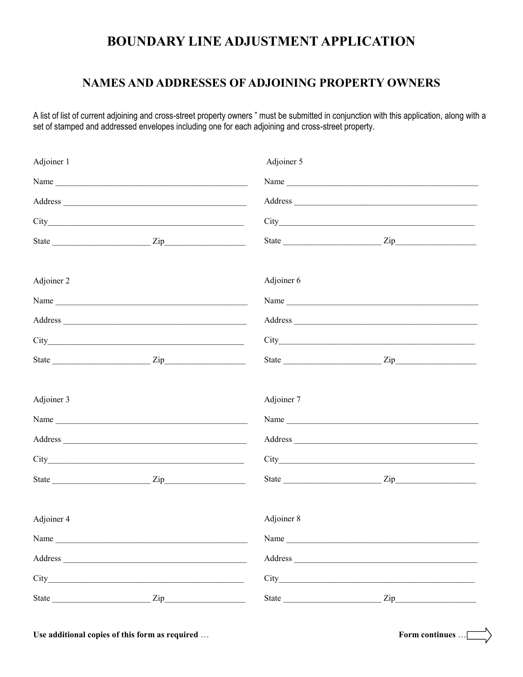## **BOUNDARY LINE ADJUSTMENT APPLICATION**

#### **NAMES AND ADDRESSES OF ADJOINING PROPERTY OWNERS**

A list of list of current adjoining and cross-street property owners" must be submitted in conjunction with this application, along with a set of stamped and addressed envelopes including one for each adjoining and cross-street property.

| Adjoiner 1 |                                                                                                                                                                                                                                                                                                                                                                    | Adjoiner 5 |         |  |
|------------|--------------------------------------------------------------------------------------------------------------------------------------------------------------------------------------------------------------------------------------------------------------------------------------------------------------------------------------------------------------------|------------|---------|--|
|            |                                                                                                                                                                                                                                                                                                                                                                    |            |         |  |
|            |                                                                                                                                                                                                                                                                                                                                                                    |            |         |  |
|            |                                                                                                                                                                                                                                                                                                                                                                    |            |         |  |
|            |                                                                                                                                                                                                                                                                                                                                                                    |            |         |  |
| Adjoiner 2 |                                                                                                                                                                                                                                                                                                                                                                    | Adjoiner 6 |         |  |
|            |                                                                                                                                                                                                                                                                                                                                                                    |            | Name    |  |
|            |                                                                                                                                                                                                                                                                                                                                                                    |            |         |  |
|            | City                                                                                                                                                                                                                                                                                                                                                               |            |         |  |
|            | State $\frac{1}{\sqrt{2}}$ $\frac{1}{\sqrt{2}}$ $\frac{1}{\sqrt{2}}$ $\frac{1}{\sqrt{2}}$ $\frac{1}{\sqrt{2}}$ $\frac{1}{\sqrt{2}}$ $\frac{1}{\sqrt{2}}$ $\frac{1}{\sqrt{2}}$ $\frac{1}{\sqrt{2}}$ $\frac{1}{\sqrt{2}}$ $\frac{1}{\sqrt{2}}$ $\frac{1}{\sqrt{2}}$ $\frac{1}{\sqrt{2}}$ $\frac{1}{\sqrt{2}}$ $\frac{1}{\sqrt{2}}$ $\frac{1}{\sqrt{2}}$ $\frac{1}{\$ |            |         |  |
| Adjoiner 3 |                                                                                                                                                                                                                                                                                                                                                                    | Adjoiner 7 |         |  |
|            | Name                                                                                                                                                                                                                                                                                                                                                               |            |         |  |
|            |                                                                                                                                                                                                                                                                                                                                                                    |            | Address |  |
|            |                                                                                                                                                                                                                                                                                                                                                                    |            |         |  |
|            |                                                                                                                                                                                                                                                                                                                                                                    |            |         |  |
| Adjoiner 4 |                                                                                                                                                                                                                                                                                                                                                                    | Adjoiner 8 |         |  |
| Name       |                                                                                                                                                                                                                                                                                                                                                                    | Name       |         |  |
|            |                                                                                                                                                                                                                                                                                                                                                                    |            |         |  |
|            |                                                                                                                                                                                                                                                                                                                                                                    |            |         |  |
|            |                                                                                                                                                                                                                                                                                                                                                                    |            |         |  |
|            |                                                                                                                                                                                                                                                                                                                                                                    |            |         |  |

Use additional copies of this form as required ...